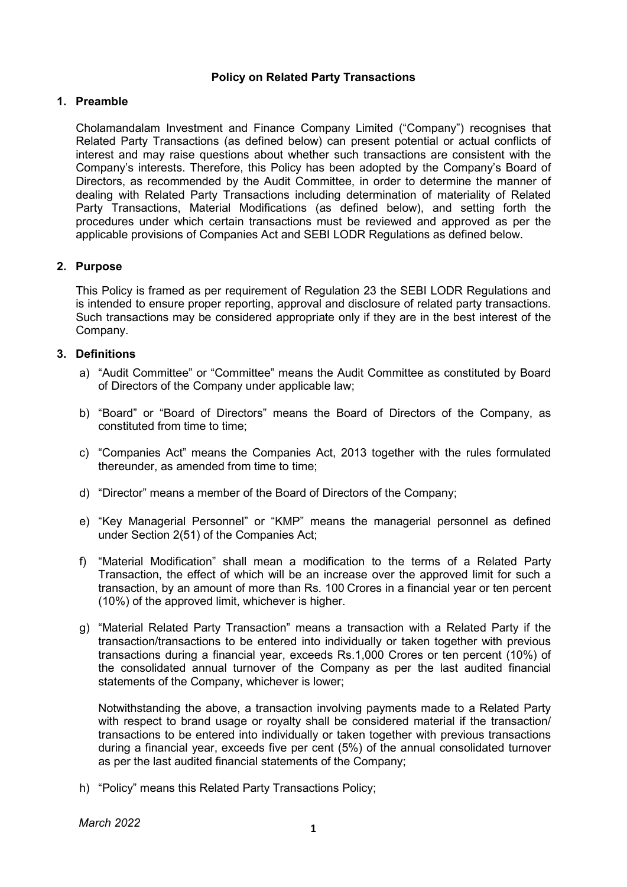# Policy on Related Party Transactions

### 1. Preamble

Cholamandalam Investment and Finance Company Limited ("Company") recognises that Related Party Transactions (as defined below) can present potential or actual conflicts of interest and may raise questions about whether such transactions are consistent with the Company's interests. Therefore, this Policy has been adopted by the Company's Board of Directors, as recommended by the Audit Committee, in order to determine the manner of dealing with Related Party Transactions including determination of materiality of Related Party Transactions, Material Modifications (as defined below), and setting forth the procedures under which certain transactions must be reviewed and approved as per the applicable provisions of Companies Act and SEBI LODR Regulations as defined below.

# 2. Purpose

This Policy is framed as per requirement of Regulation 23 the SEBI LODR Regulations and is intended to ensure proper reporting, approval and disclosure of related party transactions. Such transactions may be considered appropriate only if they are in the best interest of the Company.

# 3. Definitions

- a) "Audit Committee" or "Committee" means the Audit Committee as constituted by Board of Directors of the Company under applicable law;
- b) "Board" or "Board of Directors" means the Board of Directors of the Company, as constituted from time to time;
- c) "Companies Act" means the Companies Act, 2013 together with the rules formulated thereunder, as amended from time to time;
- d) "Director" means a member of the Board of Directors of the Company;
- e) "Key Managerial Personnel" or "KMP" means the managerial personnel as defined under Section 2(51) of the Companies Act;
- f) "Material Modification" shall mean a modification to the terms of a Related Party Transaction, the effect of which will be an increase over the approved limit for such a transaction, by an amount of more than Rs. 100 Crores in a financial year or ten percent (10%) of the approved limit, whichever is higher.
- g) "Material Related Party Transaction" means a transaction with a Related Party if the transaction/transactions to be entered into individually or taken together with previous transactions during a financial year, exceeds Rs.1,000 Crores or ten percent (10%) of the consolidated annual turnover of the Company as per the last audited financial statements of the Company, whichever is lower;

Notwithstanding the above, a transaction involving payments made to a Related Party with respect to brand usage or royalty shall be considered material if the transaction/ transactions to be entered into individually or taken together with previous transactions during a financial year, exceeds five per cent (5%) of the annual consolidated turnover as per the last audited financial statements of the Company;

h) "Policy" means this Related Party Transactions Policy;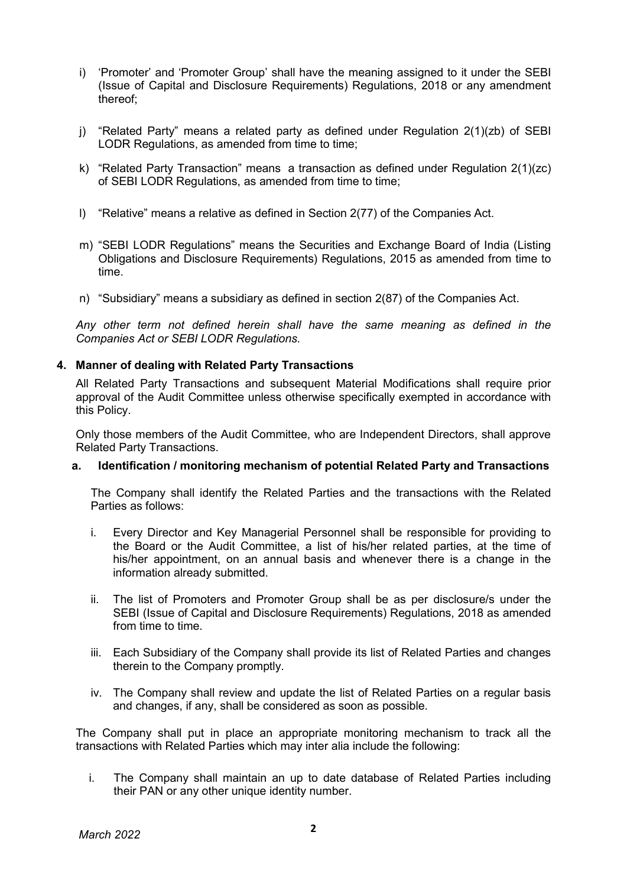- i) 'Promoter' and 'Promoter Group' shall have the meaning assigned to it under the SEBI (Issue of Capital and Disclosure Requirements) Regulations, 2018 or any amendment thereof;
- j) "Related Party" means a related party as defined under Regulation 2(1)(zb) of SEBI LODR Regulations, as amended from time to time;
- k) "Related Party Transaction" means a transaction as defined under Regulation 2(1)(zc) of SEBI LODR Regulations, as amended from time to time;
- l) "Relative" means a relative as defined in Section 2(77) of the Companies Act.
- m) "SEBI LODR Regulations" means the Securities and Exchange Board of India (Listing Obligations and Disclosure Requirements) Regulations, 2015 as amended from time to time.
- n) "Subsidiary" means a subsidiary as defined in section 2(87) of the Companies Act.

Any other term not defined herein shall have the same meaning as defined in the Companies Act or SEBI LODR Regulations.

### 4. Manner of dealing with Related Party Transactions

All Related Party Transactions and subsequent Material Modifications shall require prior approval of the Audit Committee unless otherwise specifically exempted in accordance with this Policy.

Only those members of the Audit Committee, who are Independent Directors, shall approve Related Party Transactions.

#### a. Identification / monitoring mechanism of potential Related Party and Transactions

The Company shall identify the Related Parties and the transactions with the Related Parties as follows:

- i. Every Director and Key Managerial Personnel shall be responsible for providing to the Board or the Audit Committee, a list of his/her related parties, at the time of his/her appointment, on an annual basis and whenever there is a change in the information already submitted.
- ii. The list of Promoters and Promoter Group shall be as per disclosure/s under the SEBI (Issue of Capital and Disclosure Requirements) Regulations, 2018 as amended from time to time.
- iii. Each Subsidiary of the Company shall provide its list of Related Parties and changes therein to the Company promptly.
- iv. The Company shall review and update the list of Related Parties on a regular basis and changes, if any, shall be considered as soon as possible.

The Company shall put in place an appropriate monitoring mechanism to track all the transactions with Related Parties which may inter alia include the following:

i. The Company shall maintain an up to date database of Related Parties including their PAN or any other unique identity number.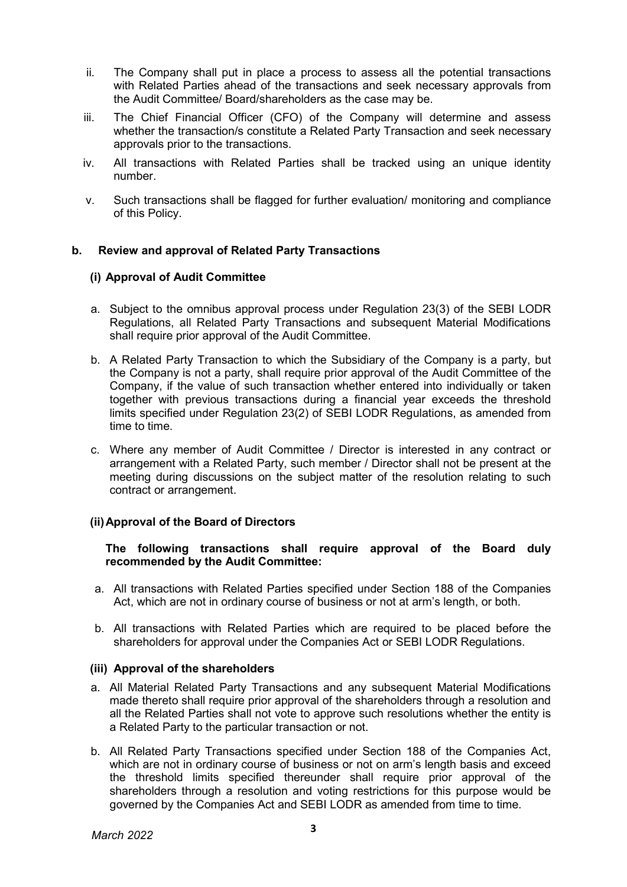- ii. The Company shall put in place a process to assess all the potential transactions with Related Parties ahead of the transactions and seek necessary approvals from the Audit Committee/ Board/shareholders as the case may be.
- iii. The Chief Financial Officer (CFO) of the Company will determine and assess whether the transaction/s constitute a Related Party Transaction and seek necessary approvals prior to the transactions.
- iv. All transactions with Related Parties shall be tracked using an unique identity number.
- v. Such transactions shall be flagged for further evaluation/ monitoring and compliance of this Policy.

# b. Review and approval of Related Party Transactions

### (i) Approval of Audit Committee

- a. Subject to the omnibus approval process under Regulation 23(3) of the SEBI LODR Regulations, all Related Party Transactions and subsequent Material Modifications shall require prior approval of the Audit Committee.
- b. A Related Party Transaction to which the Subsidiary of the Company is a party, but the Company is not a party, shall require prior approval of the Audit Committee of the Company, if the value of such transaction whether entered into individually or taken together with previous transactions during a financial year exceeds the threshold limits specified under Regulation 23(2) of SEBI LODR Regulations, as amended from time to time.
- c. Where any member of Audit Committee / Director is interested in any contract or arrangement with a Related Party, such member / Director shall not be present at the meeting during discussions on the subject matter of the resolution relating to such contract or arrangement.

# (ii) Approval of the Board of Directors

### The following transactions shall require approval of the Board duly recommended by the Audit Committee:

- a. All transactions with Related Parties specified under Section 188 of the Companies Act, which are not in ordinary course of business or not at arm's length, or both.
- b. All transactions with Related Parties which are required to be placed before the shareholders for approval under the Companies Act or SEBI LODR Regulations.

#### (iii) Approval of the shareholders

- a. All Material Related Party Transactions and any subsequent Material Modifications made thereto shall require prior approval of the shareholders through a resolution and all the Related Parties shall not vote to approve such resolutions whether the entity is a Related Party to the particular transaction or not.
- b. All Related Party Transactions specified under Section 188 of the Companies Act, which are not in ordinary course of business or not on arm's length basis and exceed the threshold limits specified thereunder shall require prior approval of the shareholders through a resolution and voting restrictions for this purpose would be governed by the Companies Act and SEBI LODR as amended from time to time.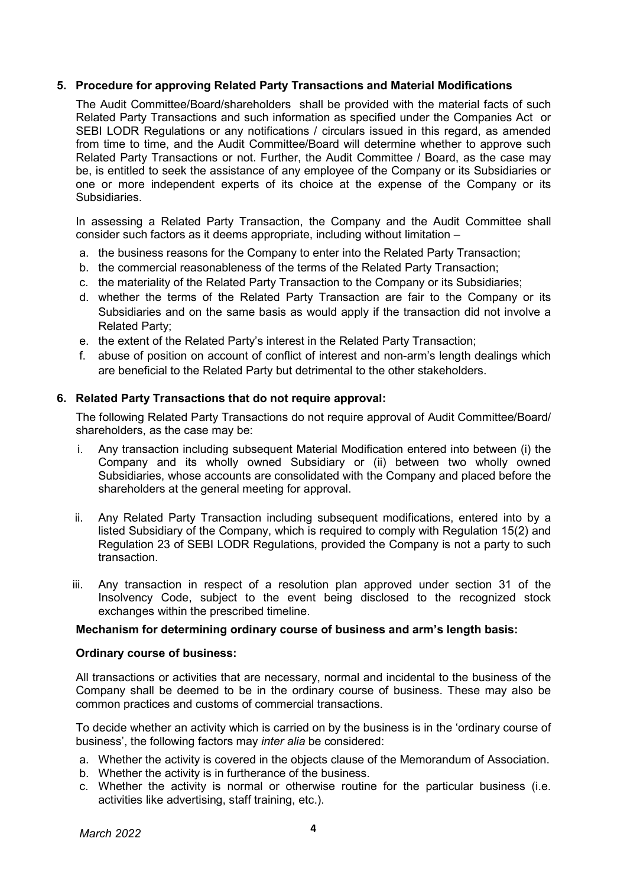### 5. Procedure for approving Related Party Transactions and Material Modifications

The Audit Committee/Board/shareholders shall be provided with the material facts of such Related Party Transactions and such information as specified under the Companies Act or SEBI LODR Regulations or any notifications / circulars issued in this regard, as amended from time to time, and the Audit Committee/Board will determine whether to approve such Related Party Transactions or not. Further, the Audit Committee / Board, as the case may be, is entitled to seek the assistance of any employee of the Company or its Subsidiaries or one or more independent experts of its choice at the expense of the Company or its Subsidiaries.

In assessing a Related Party Transaction, the Company and the Audit Committee shall consider such factors as it deems appropriate, including without limitation –

- a. the business reasons for the Company to enter into the Related Party Transaction;
- b. the commercial reasonableness of the terms of the Related Party Transaction;
- c. the materiality of the Related Party Transaction to the Company or its Subsidiaries;
- d. whether the terms of the Related Party Transaction are fair to the Company or its Subsidiaries and on the same basis as would apply if the transaction did not involve a Related Party;
- e. the extent of the Related Party's interest in the Related Party Transaction;
- f. abuse of position on account of conflict of interest and non-arm's length dealings which are beneficial to the Related Party but detrimental to the other stakeholders.

### 6. Related Party Transactions that do not require approval:

The following Related Party Transactions do not require approval of Audit Committee/Board/ shareholders, as the case may be:

- i. Any transaction including subsequent Material Modification entered into between (i) the Company and its wholly owned Subsidiary or (ii) between two wholly owned Subsidiaries, whose accounts are consolidated with the Company and placed before the shareholders at the general meeting for approval.
- ii. Any Related Party Transaction including subsequent modifications, entered into by a listed Subsidiary of the Company, which is required to comply with Regulation 15(2) and Regulation 23 of SEBI LODR Regulations, provided the Company is not a party to such transaction.
- iii. Any transaction in respect of a resolution plan approved under section 31 of the Insolvency Code, subject to the event being disclosed to the recognized stock exchanges within the prescribed timeline.

#### Mechanism for determining ordinary course of business and arm's length basis:

#### Ordinary course of business:

All transactions or activities that are necessary, normal and incidental to the business of the Company shall be deemed to be in the ordinary course of business. These may also be common practices and customs of commercial transactions.

To decide whether an activity which is carried on by the business is in the 'ordinary course of business', the following factors may inter alia be considered:

- a. Whether the activity is covered in the objects clause of the Memorandum of Association.
- b. Whether the activity is in furtherance of the business.
- c. Whether the activity is normal or otherwise routine for the particular business (i.e. activities like advertising, staff training, etc.).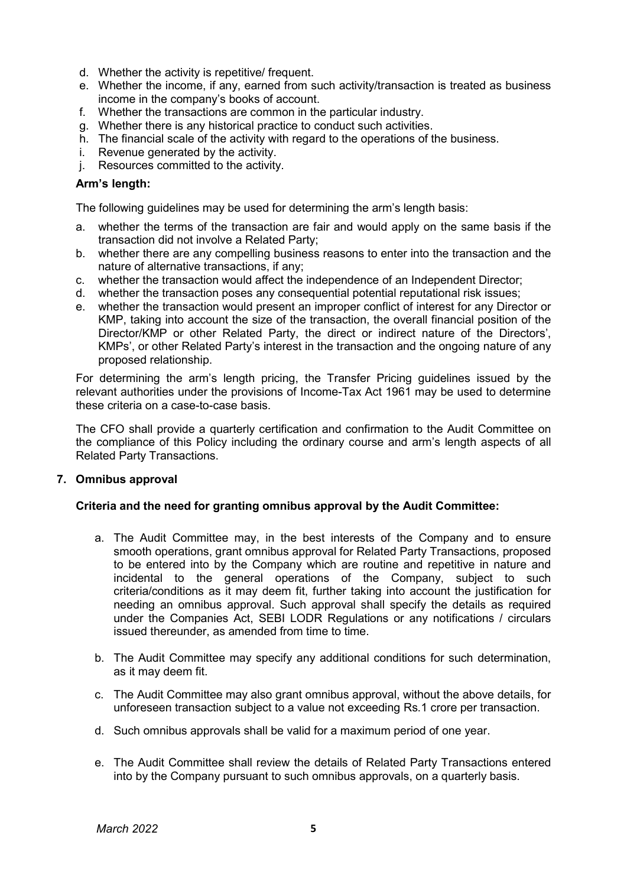- d. Whether the activity is repetitive/ frequent.
- e. Whether the income, if any, earned from such activity/transaction is treated as business income in the company's books of account.
- f. Whether the transactions are common in the particular industry.
- g. Whether there is any historical practice to conduct such activities.
- h. The financial scale of the activity with regard to the operations of the business.
- i. Revenue generated by the activity.
- j. Resources committed to the activity.

# Arm's length:

The following guidelines may be used for determining the arm's length basis:

- a. whether the terms of the transaction are fair and would apply on the same basis if the transaction did not involve a Related Party;
- b. whether there are any compelling business reasons to enter into the transaction and the nature of alternative transactions, if any;
- c. whether the transaction would affect the independence of an Independent Director;
- d. whether the transaction poses any consequential potential reputational risk issues;
- e. whether the transaction would present an improper conflict of interest for any Director or KMP, taking into account the size of the transaction, the overall financial position of the Director/KMP or other Related Party, the direct or indirect nature of the Directors', KMPs', or other Related Party's interest in the transaction and the ongoing nature of any proposed relationship.

For determining the arm's length pricing, the Transfer Pricing guidelines issued by the relevant authorities under the provisions of Income-Tax Act 1961 may be used to determine these criteria on a case-to-case basis.

The CFO shall provide a quarterly certification and confirmation to the Audit Committee on the compliance of this Policy including the ordinary course and arm's length aspects of all Related Party Transactions.

# 7. Omnibus approval

# Criteria and the need for granting omnibus approval by the Audit Committee:

- a. The Audit Committee may, in the best interests of the Company and to ensure smooth operations, grant omnibus approval for Related Party Transactions, proposed to be entered into by the Company which are routine and repetitive in nature and incidental to the general operations of the Company, subject to such criteria/conditions as it may deem fit, further taking into account the justification for needing an omnibus approval. Such approval shall specify the details as required under the Companies Act, SEBI LODR Regulations or any notifications / circulars issued thereunder, as amended from time to time.
- b. The Audit Committee may specify any additional conditions for such determination, as it may deem fit.
- c. The Audit Committee may also grant omnibus approval, without the above details, for unforeseen transaction subject to a value not exceeding Rs.1 crore per transaction.
- d. Such omnibus approvals shall be valid for a maximum period of one year.
- e. The Audit Committee shall review the details of Related Party Transactions entered into by the Company pursuant to such omnibus approvals, on a quarterly basis.